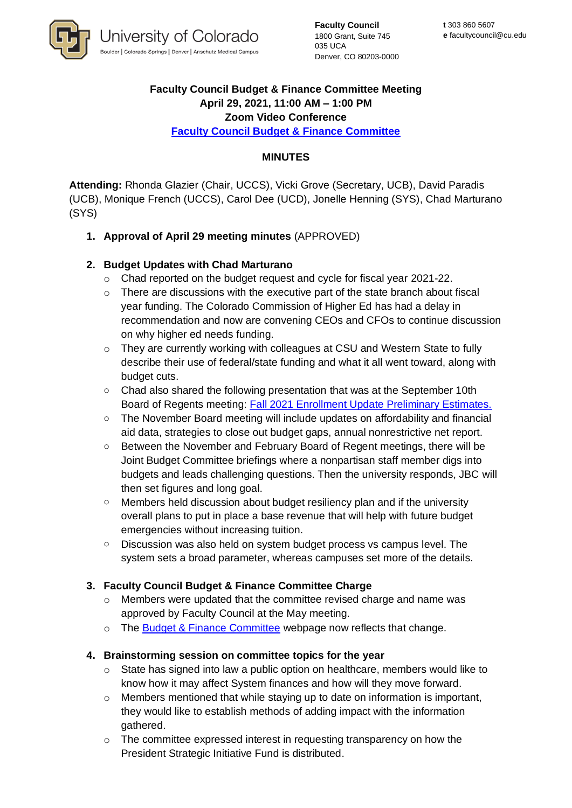

**Faculty Council** 1800 Grant, Suite 745 035 UCA Denver, CO 80203-0000

### **Faculty Council Budget & Finance Committee Meeting April 29, 2021, 11:00 AM – 1:00 PM Zoom Video Conference**

**[Faculty Council Budget & Finance Committee](https://www.cu.edu/faculty-council/committees/faculty-council-budget-committee)** 

## **MINUTES**

**Attending:** Rhonda Glazier (Chair, UCCS), Vicki Grove (Secretary, UCB), David Paradis (UCB), Monique French (UCCS), Carol Dee (UCD), Jonelle Henning (SYS), Chad Marturano (SYS)

**1. Approval of April 29 meeting minutes** (APPROVED)

# **2. Budget Updates with Chad Marturano**

- o Chad reported on the budget request and cycle for fiscal year 2021-22.
- o There are discussions with the executive part of the state branch about fiscal year funding. The Colorado Commission of Higher Ed has had a delay in recommendation and now are convening CEOs and CFOs to continue discussion on why higher ed needs funding.
- $\circ$  They are currently working with colleagues at CSU and Western State to fully describe their use of federal/state funding and what it all went toward, along with budget cuts.
- $\circ$  Chad also shared the following presentation that was at the September 10th Board of Regents meeting: [Fall 2021 Enrollment Update Preliminary Estimates.](https://go.boarddocs.com/co/cu/Board.nsf/files/C6QNB75DC52C/$file/FY%202021-22%20Preliminary%20Fall%20Enrollment%20(9-10-21%20final).pdf)
- o The November Board meeting will include updates on affordability and financial aid data, strategies to close out budget gaps, annual nonrestrictive net report.
- o Between the November and February Board of Regent meetings, there will be Joint Budget Committee briefings where a nonpartisan staff member digs into budgets and leads challenging questions. Then the university responds, JBC will then set figures and long goal.
- $\circ$  Members held discussion about budget resiliency plan and if the university overall plans to put in place a base revenue that will help with future budget emergencies without increasing tuition.
- o Discussion was also held on system budget process vs campus level. The system sets a broad parameter, whereas campuses set more of the details.

### **3. Faculty Council Budget & Finance Committee Charge**

- $\circ$  Members were updated that the committee revised charge and name was approved by Faculty Council at the May meeting.
- o The [Budget & Finance Committee](http://cu.edu/faculty-council/committees/faculty-council-budget-and-finance-committee) webpage now reflects that change.

### **4. Brainstorming session on committee topics for the year**

- $\circ$  State has signed into law a public option on healthcare, members would like to know how it may affect System finances and how will they move forward.
- o Members mentioned that while staying up to date on information is important, they would like to establish methods of adding impact with the information gathered.
- o The committee expressed interest in requesting transparency on how the President Strategic Initiative Fund is distributed.